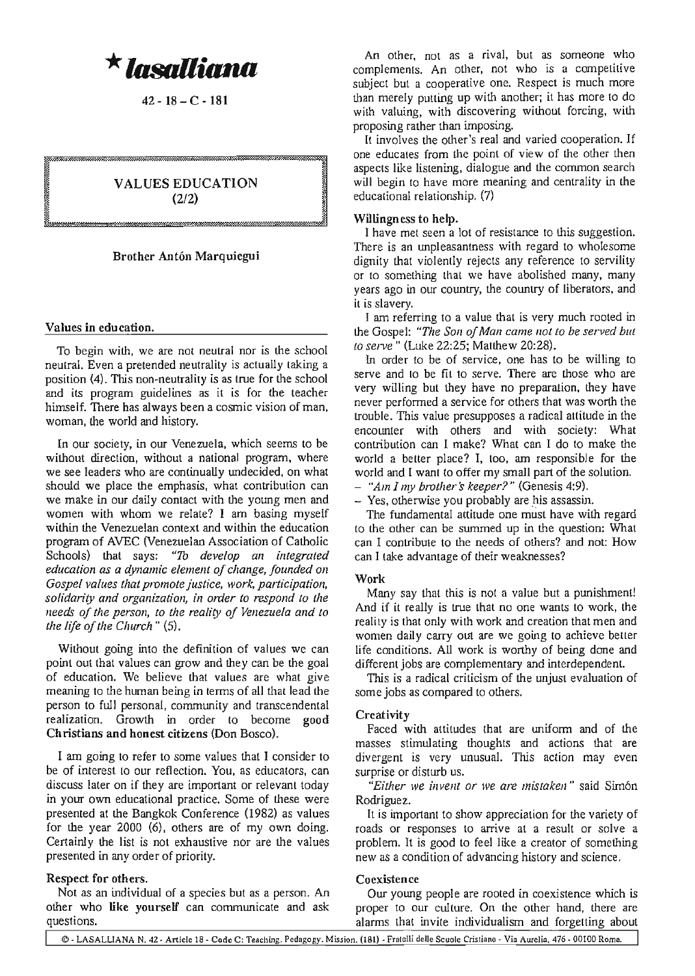*\****lllsolIitma**

42-18-C-181

VALUES EDUCATION (2/2)

# Brother Antón Marquiegui

### Values in education.

To begin with, we are not neutral nor is the school neutral. Even a pretended neutrality is actually taking a position (4). This non-neutrality is as true for the school and its program guidelines as it is for the leacher himself. There has always been a cosmic vision of man, woman, the world and history.

In our society, in our Venezuela, which seems to be without direction, without a national program, where we see leaders who are continually undecided, on what should we place the emphasis, what contribution can we make in our daily contact with the young men and women with whom we relate? I am basing myself within the Venezuelan context and within the education program of AVEC (Venezuelan Association of Catholic Schools) that says: *"To develop an integrated education as a dynamic element ofchange, founded on Gospel values that promote justice*, *work*, *participation*, *solidarity and organization, in order to respond to the needs of the person, to the reality of Venezuela and to the life of the Church"* (5).

Without going into the definition of values we can point out that values can grow and they can be the goal of education. We believe that values are what give meaning to the human being in terms of all that lead the person to full personal, community and transcendental realization. Growth in order to become good Christians and honest citizens (Don Bosco).

I am going to refer to some values that I consider to be of interest to our reflection. You, as educators, can discuss later on if they are important or relevant today in your own educational practice. Some of these were presented at the Bangkok Conference (1982) as values for the year 2000 (6), others are of my own doing. Certainly the list is not exhaustive nor are the values presented in any order of priority.

#### Respect for others.

Not as an individual of a species but as a person. An other who like yourself can communicate and ask questions.

An other, not as a rival, but as someone who complements. An other, not who is a competitive subject but a cooperative one. Respect is much more than merely putting up with another; it has more to do with valuing, with discovering without forcing, with proposing rather than imposing.

It involves the other's real and varied cooperation. If one educates from the point of view of the other then aspects like listening, dialogue and the common search will begin to have more meaning and centrality in the educational relationship. (7)

### Willingness to help.

I have mel seen a lot of resistance to this suggestion. There is an unpleasantness with regard to wholesome dignity that violently rejects any reference to servility or to something that we have abolished many, many years ago in our country, the country of liberators, and it is slavery.

I am referring to a value that is very much rooled in the Gospel: *"The Son ofMan come not to be served but to serve"* (Luke 22:25; Matthew 20:28).

In order to be of service, one has to be willing to serve and to be fit to serve. There are those who are very willing but they have no preparation, they have never perfonned a service for others that was worth the trouble. This value presupposes a radical attitude in the encounter with others and with society: What contribution can I make? Whal can I do to make the world a better place? I, too, am responsible for the world and I want to offer my small part of the solution. *- "Am I,,!!, brother's keeper?"* (Genesis 4:9).

- Yes, otherwise you probably are his assassin.

The fundamental attitude one must have with regard to the other can be summed up in the question: What can I contribute to the needs of others? and nol: How can I take advantage of their weaknesses?

#### Work

Many say that this is not a value but a punishment! And if it really is true that no one wants to work, the reality is that only with work and creation thal men and women daily carry out are we going to achieve better Iife conditions. All work is worthy of being done and different jobs are complementary and interdependent.

This is a radical criticism of the unjust evaluation of some jobs as compared to others.

### **Creativity**

Faced with attitudes that are uniform and of the masses stimulating thoughts and actions that are divergent is very unusual. This action may even surprise or disturb us.

*"Either* we *invent or* we *are mistaken"* said Simon Rodriguez.

It is important to show appreciation for the variety of roads or responses to arrive at a result or solve a problem. It is good to feel like a creator of something new as a condition of advancing history and science.

#### **Coexistence**

Our young people are rooted in coexistence which is proper to our culture. On the other hand, there are alanns thal invite individualism and forgetting about